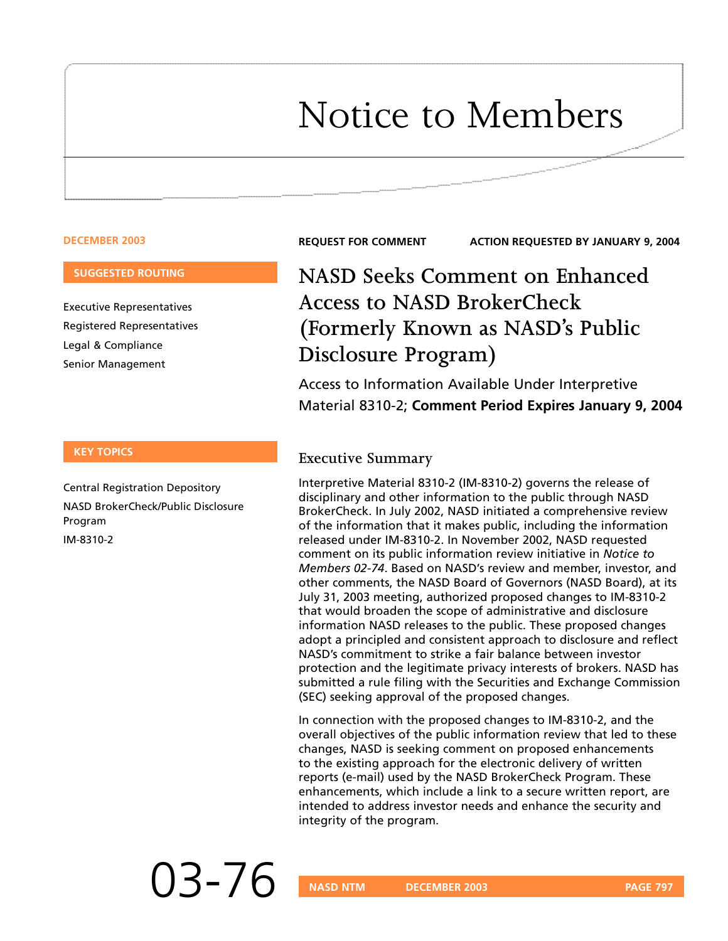# Notice to Members

#### **DECEMBER 2003**

#### **SUGGESTED ROUTING**

Executive Representatives Registered Representatives Legal & Compliance Senior Management

#### **KEY TOPICS**

Central Registration Depository NASD BrokerCheck/Public Disclosure Program IM-8310-2

**REQUEST FOR COMMENT ACTION REQUESTED BY JANUARY 9, 2004**

# **NASD Seeks Comment on Enhanced Access to NASD BrokerCheck (Formerly Known as NASD's Public Disclosure Program)**

Access to Information Available Under Interpretive Material 8310-2; **Comment Period Expires January 9, 2004**

#### **Executive Summary**

Interpretive Material 8310-2 (IM-8310-2) governs the release of disciplinary and other information to the public through NASD BrokerCheck. In July 2002, NASD initiated a comprehensive review of the information that it makes public, including the information released under IM-8310-2. In November 2002, NASD requested comment on its public information review initiative in *Notice to Members 02-74*. Based on NASD's review and member, investor, and other comments, the NASD Board of Governors (NASD Board), at its July 31, 2003 meeting, authorized proposed changes to IM-8310-2 that would broaden the scope of administrative and disclosure information NASD releases to the public. These proposed changes adopt a principled and consistent approach to disclosure and reflect NASD's commitment to strike a fair balance between investor protection and the legitimate privacy interests of brokers. NASD has submitted a rule filing with the Securities and Exchange Commission (SEC) seeking approval of the proposed changes.

In connection with the proposed changes to IM-8310-2, and the overall objectives of the public information review that led to these changes, NASD is seeking comment on proposed enhancements to the existing approach for the electronic delivery of written reports (e-mail) used by the NASD BrokerCheck Program. These enhancements, which include a link to a secure written report, are intended to address investor needs and enhance the security and integrity of the program.

03-76 **NASD NTM DECEMBER 2003 PAGE 797**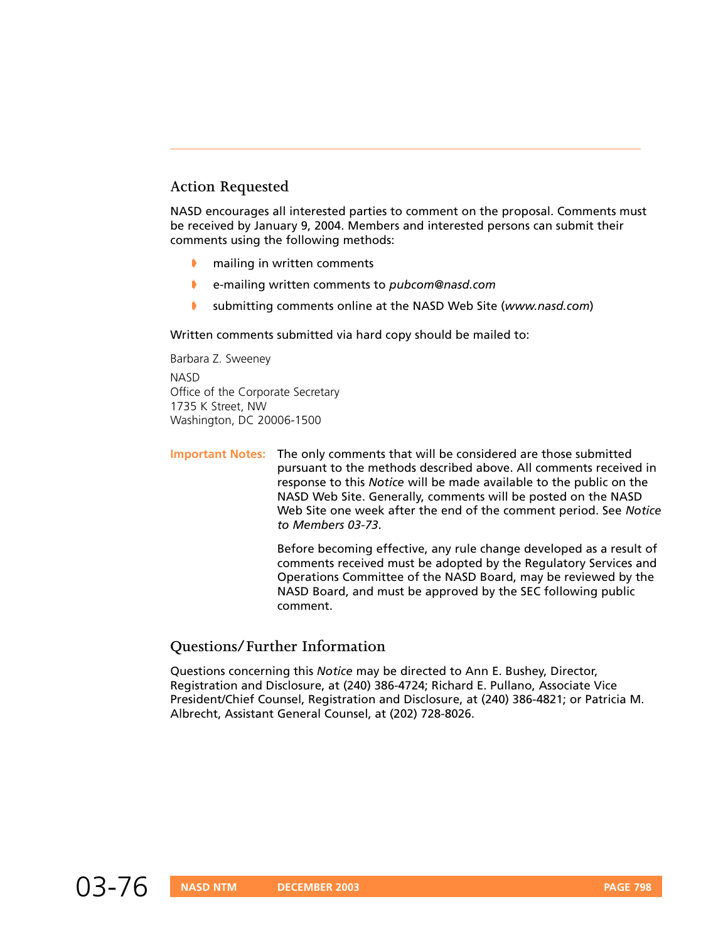### **Action Requested**

NASD encourages all interested parties to comment on the proposal. Comments must be received by January 9, 2004. Members and interested persons can submit their comments using the following methods:

- mailing in written comments
- ➧ e-mailing written comments to *pubcom@nasd.com*
- ➧ submitting comments online at the NASD Web Site (*www.nasd.com*)

Written comments submitted via hard copy should be mailed to:

Barbara Z. Sweeney

**NASD** Office of the Corporate Secretary 1735 K Street, NW Washington, DC 20006-1500

**Important Notes:** The only comments that will be considered are those submitted pursuant to the methods described above. All comments received in response to this *Notice* will be made available to the public on the NASD Web Site. Generally, comments will be posted on the NASD Web Site one week after the end of the comment period. See *Notice to Members 03-73*.

> Before becoming effective, any rule change developed as a result of comments received must be adopted by the Regulatory Services and Operations Committee of the NASD Board, may be reviewed by the NASD Board, and must be approved by the SEC following public comment.

#### **Questions/Further Information**

Questions concerning this *Notice* may be directed to Ann E. Bushey, Director, Registration and Disclosure, at (240) 386-4724; Richard E. Pullano, Associate Vice President/Chief Counsel, Registration and Disclosure, at (240) 386-4821; or Patricia M. Albrecht, Assistant General Counsel, at (202) 728-8026.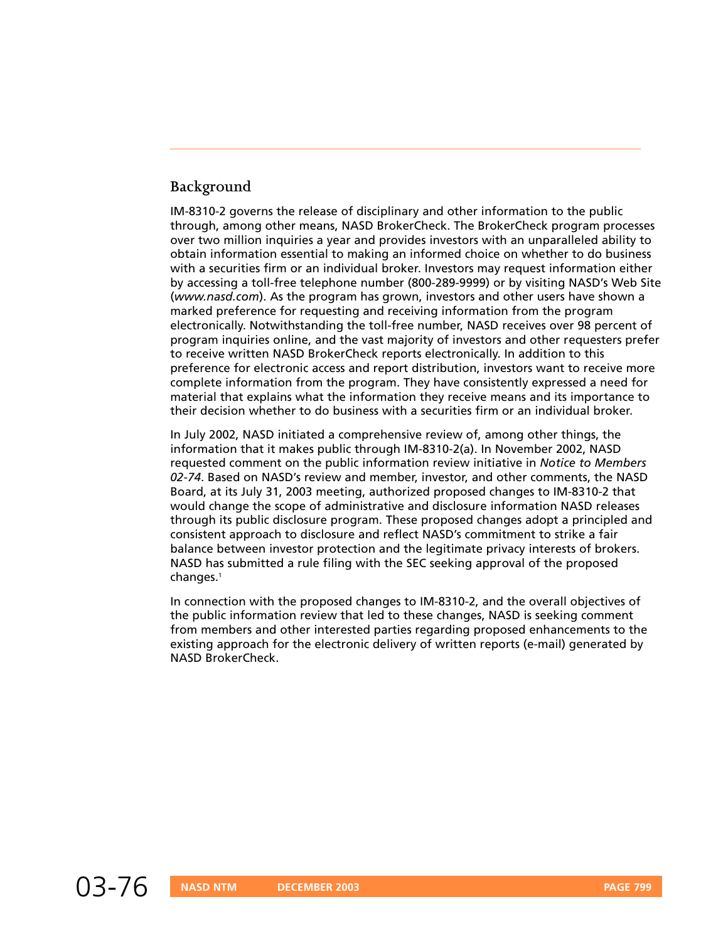# **Background**

IM-8310-2 governs the release of disciplinary and other information to the public through, among other means, NASD BrokerCheck. The BrokerCheck program processes over two million inquiries a year and provides investors with an unparalleled ability to obtain information essential to making an informed choice on whether to do business with a securities firm or an individual broker. Investors may request information either by accessing a toll-free telephone number (800-289-9999) or by visiting NASD's Web Site (*www.nasd.com*). As the program has grown, investors and other users have shown a marked preference for requesting and receiving information from the program electronically. Notwithstanding the toll-free number, NASD receives over 98 percent of program inquiries online, and the vast majority of investors and other requesters prefer to receive written NASD BrokerCheck reports electronically. In addition to this preference for electronic access and report distribution, investors want to receive more complete information from the program. They have consistently expressed a need for material that explains what the information they receive means and its importance to their decision whether to do business with a securities firm or an individual broker.

In July 2002, NASD initiated a comprehensive review of, among other things, the information that it makes public through IM-8310-2(a). In November 2002, NASD requested comment on the public information review initiative in *Notice to Members 02-74*. Based on NASD's review and member, investor, and other comments, the NASD Board, at its July 31, 2003 meeting, authorized proposed changes to IM-8310-2 that would change the scope of administrative and disclosure information NASD releases through its public disclosure program. These proposed changes adopt a principled and consistent approach to disclosure and reflect NASD's commitment to strike a fair balance between investor protection and the legitimate privacy interests of brokers. NASD has submitted a rule filing with the SEC seeking approval of the proposed changes.1

In connection with the proposed changes to IM-8310-2, and the overall objectives of the public information review that led to these changes, NASD is seeking comment from members and other interested parties regarding proposed enhancements to the existing approach for the electronic delivery of written reports (e-mail) generated by NASD BrokerCheck.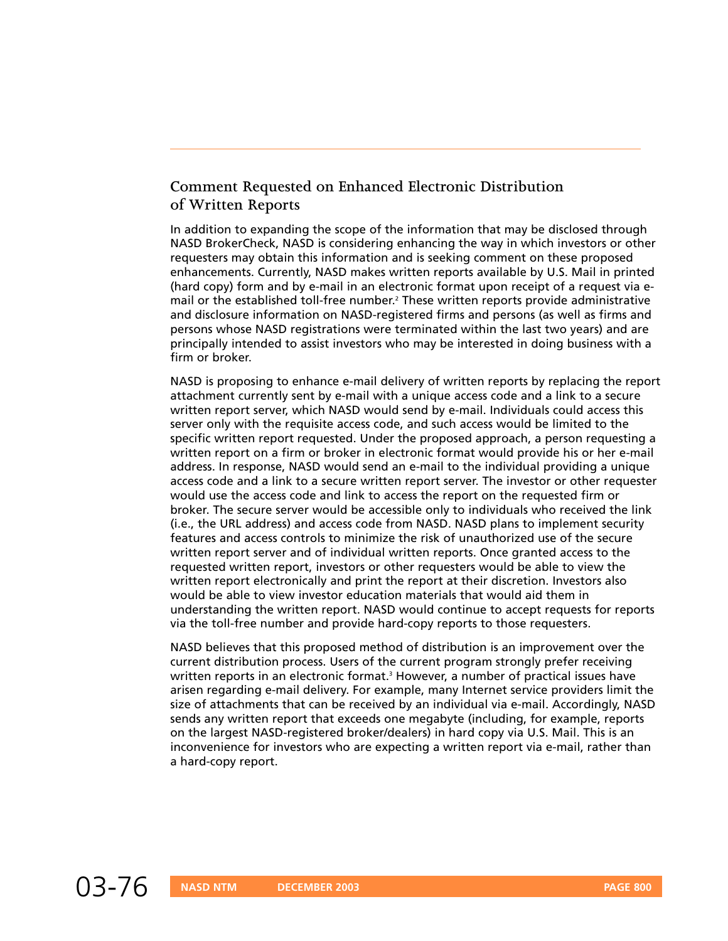# **Comment Requested on Enhanced Electronic Distribution of Written Reports**

In addition to expanding the scope of the information that may be disclosed through NASD BrokerCheck, NASD is considering enhancing the way in which investors or other requesters may obtain this information and is seeking comment on these proposed enhancements. Currently, NASD makes written reports available by U.S. Mail in printed (hard copy) form and by e-mail in an electronic format upon receipt of a request via email or the established toll-free number. <sup>2</sup> These written reports provide administrative and disclosure information on NASD-registered firms and persons (as well as firms and persons whose NASD registrations were terminated within the last two years) and are principally intended to assist investors who may be interested in doing business with a firm or broker.

NASD is proposing to enhance e-mail delivery of written reports by replacing the report attachment currently sent by e-mail with a unique access code and a link to a secure written report server, which NASD would send by e-mail. Individuals could access this server only with the requisite access code, and such access would be limited to the specific written report requested. Under the proposed approach, a person requesting a written report on a firm or broker in electronic format would provide his or her e-mail address. In response, NASD would send an e-mail to the individual providing a unique access code and a link to a secure written report server. The investor or other requester would use the access code and link to access the report on the requested firm or broker. The secure server would be accessible only to individuals who received the link (i.e., the URL address) and access code from NASD. NASD plans to implement security features and access controls to minimize the risk of unauthorized use of the secure written report server and of individual written reports. Once granted access to the requested written report, investors or other requesters would be able to view the written report electronically and print the report at their discretion. Investors also would be able to view investor education materials that would aid them in understanding the written report. NASD would continue to accept requests for reports via the toll-free number and provide hard-copy reports to those requesters.

NASD believes that this proposed method of distribution is an improvement over the current distribution process. Users of the current program strongly prefer receiving written reports in an electronic format.<sup>3</sup> However, a number of practical issues have arisen regarding e-mail delivery. For example, many Internet service providers limit the size of attachments that can be received by an individual via e-mail. Accordingly, NASD sends any written report that exceeds one megabyte (including, for example, reports on the largest NASD-registered broker/dealers) in hard copy via U.S. Mail. This is an inconvenience for investors who are expecting a written report via e-mail, rather than a hard-copy report.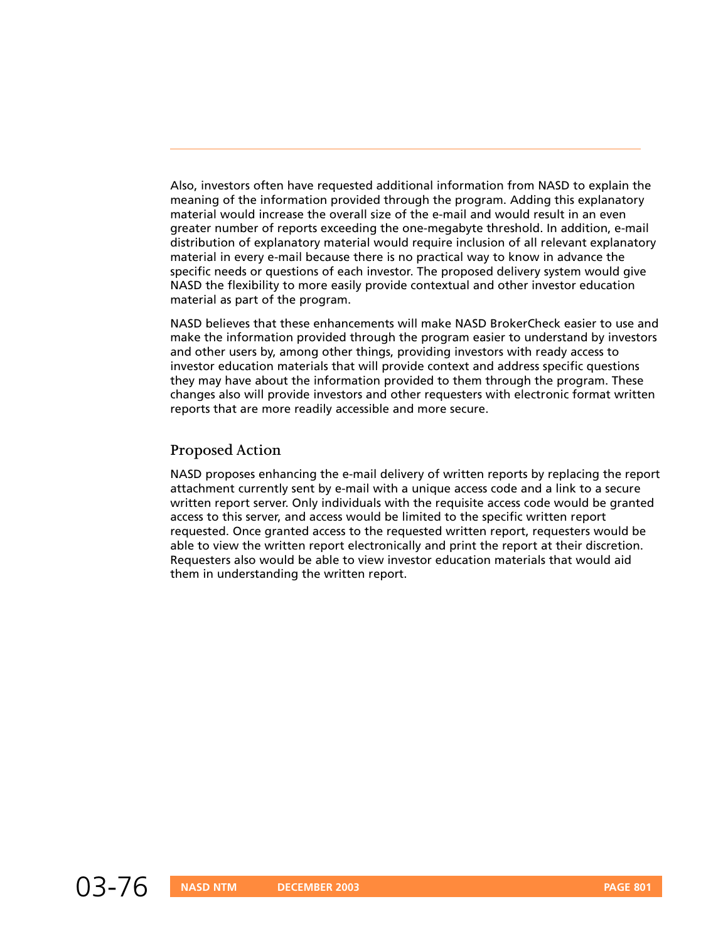Also, investors often have requested additional information from NASD to explain the meaning of the information provided through the program. Adding this explanatory material would increase the overall size of the e-mail and would result in an even greater number of reports exceeding the one-megabyte threshold. In addition, e-mail distribution of explanatory material would require inclusion of all relevant explanatory material in every e-mail because there is no practical way to know in advance the specific needs or questions of each investor. The proposed delivery system would give NASD the flexibility to more easily provide contextual and other investor education material as part of the program.

NASD believes that these enhancements will make NASD BrokerCheck easier to use and make the information provided through the program easier to understand by investors and other users by, among other things, providing investors with ready access to investor education materials that will provide context and address specific questions they may have about the information provided to them through the program. These changes also will provide investors and other requesters with electronic format written reports that are more readily accessible and more secure.

#### **Proposed Action**

NASD proposes enhancing the e-mail delivery of written reports by replacing the report attachment currently sent by e-mail with a unique access code and a link to a secure written report server. Only individuals with the requisite access code would be granted access to this server, and access would be limited to the specific written report requested. Once granted access to the requested written report, requesters would be able to view the written report electronically and print the report at their discretion. Requesters also would be able to view investor education materials that would aid them in understanding the written report.